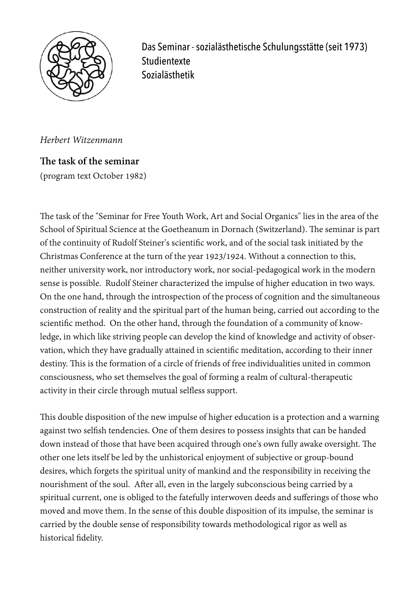

 Das Seminar - sozialästhetische Schulungsstätte (seit 1973) **Studientexte** Sozialästhetik

*Herbert Witzenmann* 

The task of the seminar (program text October 1982)

The task of the "Seminar for Free Youth Work, Art and Social Organics" lies in the area of the School of Spiritual Science at the Goetheanum in Dornach (Switzerland). The seminar is part of the continuity of Rudolf Steiner's scientific work, and of the social task initiated by the Christmas Conference at the turn of the year 1923/1924. Without a connection to this, neither university work, nor introductory work, nor social-pedagogical work in the modern sense is possible. Rudolf Steiner characterized the impulse of higher education in two ways. On the one hand, through the introspection of the process of cognition and the simultaneous construction of reality and the spiritual part of the human being, carried out according to the scientific method. On the other hand, through the foundation of a community of knowledge, in which like striving people can develop the kind of knowledge and activity of observation, which they have gradually attained in scientific meditation, according to their inner destiny. This is the formation of a circle of friends of free individualities united in common consciousness, who set themselves the goal of forming a realm of cultural-therapeutic activity in their circle through mutual selfless support.

This double disposition of the new impulse of higher education is a protection and a warning against two selfish tendencies. One of them desires to possess insights that can be handed down instead of those that have been acquired through one's own fully awake oversight. The other one lets itself be led by the unhistorical enjoyment of subjective or group-bound desires, which forgets the spiritual unity of mankind and the responsibility in receiving the nourishment of the soul. Afer all, even in the largely subconscious being carried by a spiritual current, one is obliged to the fatefully interwoven deeds and sufferings of those who moved and move them. In the sense of this double disposition of its impulse, the seminar is carried by the double sense of responsibility towards methodological rigor as well as historical fidelity.